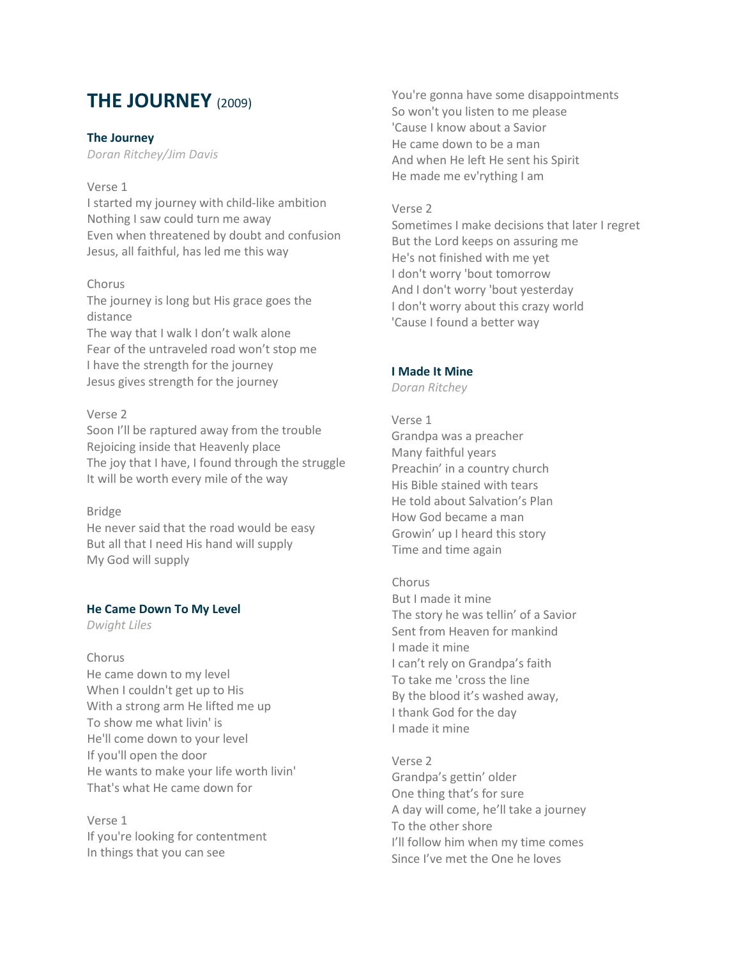# **THE JOURNEY** (2009)

## **The Journey**

*Doran Ritchey/Jim Davis*

## Verse 1

I started my journey with child-like ambition Nothing I saw could turn me away Even when threatened by doubt and confusion Jesus, all faithful, has led me this way

## Chorus

The journey is long but His grace goes the distance

The way that I walk I don't walk alone Fear of the untraveled road won't stop me I have the strength for the journey Jesus gives strength for the journey

## Verse 2

Soon I'll be raptured away from the trouble Rejoicing inside that Heavenly place The joy that I have, I found through the struggle It will be worth every mile of the way

## Bridge

He never said that the road would be easy But all that I need His hand will supply My God will supply

## **He Came Down To My Level**

*Dwight Liles*

### Chorus

He came down to my level When I couldn't get up to His With a strong arm He lifted me up To show me what livin' is He'll come down to your level If you'll open the door He wants to make your life worth livin' That's what He came down for

Verse 1 If you're looking for contentment In things that you can see

You're gonna have some disappointments So won't you listen to me please 'Cause I know about a Savior He came down to be a man And when He left He sent his Spirit He made me ev'rything I am

## Verse 2

Sometimes I make decisions that later I regret But the Lord keeps on assuring me He's not finished with me yet I don't worry 'bout tomorrow And I don't worry 'bout yesterday I don't worry about this crazy world 'Cause I found a better way

## **I Made It Mine**

*Doran Ritchey*

# Verse 1 Grandpa was a preacher Many faithful years Preachin' in a country church His Bible stained with tears He told about Salvation's Plan How God became a man Growin' up I heard this story Time and time again

Chorus

But I made it mine The story he was tellin' of a Savior Sent from Heaven for mankind I made it mine I can't rely on Grandpa's faith To take me 'cross the line By the blood it's washed away, I thank God for the day I made it mine

Verse 2 Grandpa's gettin' older One thing that's for sure A day will come, he'll take a journey To the other shore I'll follow him when my time comes Since I've met the One he loves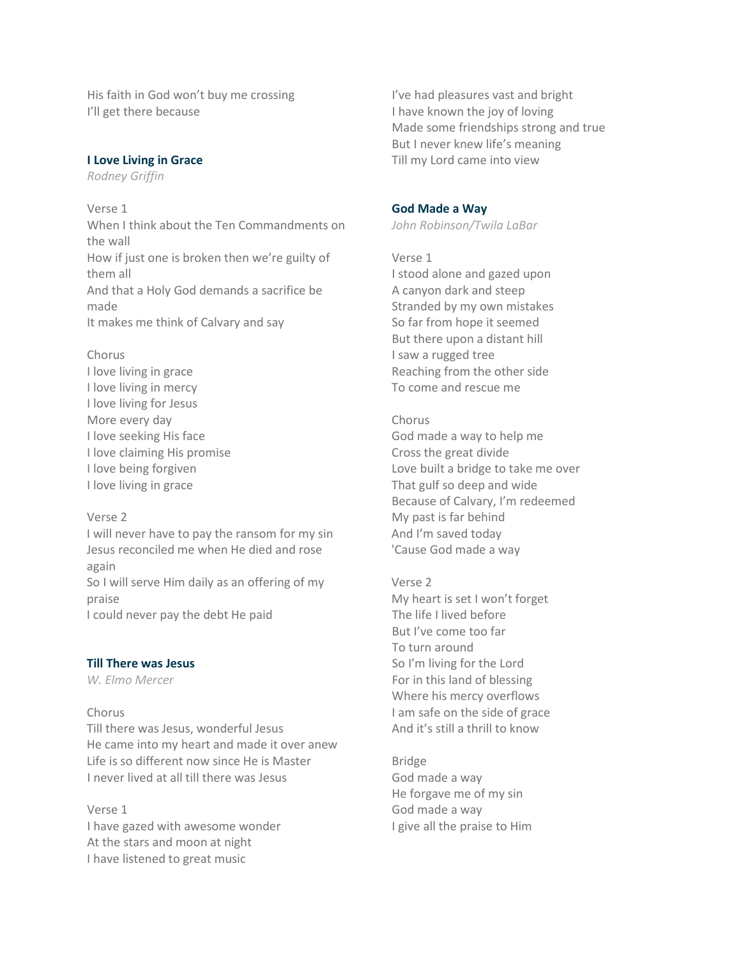His faith in God won't buy me crossing I'll get there because

## **I Love Living in Grace**

*Rodney Griffin*

Verse 1 When I think about the Ten Commandments on the wall How if just one is broken then we're guilty of them all And that a Holy God demands a sacrifice be made It makes me think of Calvary and say

## Chorus

I love living in grace I love living in mercy I love living for Jesus More every day I love seeking His face I love claiming His promise I love being forgiven I love living in grace

#### Verse 2

I will never have to pay the ransom for my sin Jesus reconciled me when He died and rose again So I will serve Him daily as an offering of my praise I could never pay the debt He paid

## **Till There was Jesus**

*W. Elmo Mercer*

#### Chorus

Till there was Jesus, wonderful Jesus He came into my heart and made it over anew Life is so different now since He is Master I never lived at all till there was Jesus

Verse 1 I have gazed with awesome wonder At the stars and moon at night I have listened to great music

I've had pleasures vast and bright I have known the joy of loving Made some friendships strong and true But I never knew life's meaning Till my Lord came into view

## **God Made a Way**

*John Robinson/Twila LaBar*

# Verse 1

I stood alone and gazed upon A canyon dark and steep Stranded by my own mistakes So far from hope it seemed But there upon a distant hill I saw a rugged tree Reaching from the other side To come and rescue me

## Chorus

God made a way to help me Cross the great divide Love built a bridge to take me over That gulf so deep and wide Because of Calvary, I'm redeemed My past is far behind And I'm saved today 'Cause God made a way

Verse 2 My heart is set I won't forget The life I lived before But I've come too far To turn around

So I'm living for the Lord For in this land of blessing Where his mercy overflows I am safe on the side of grace And it's still a thrill to know

Bridge God made a way He forgave me of my sin God made a way I give all the praise to Him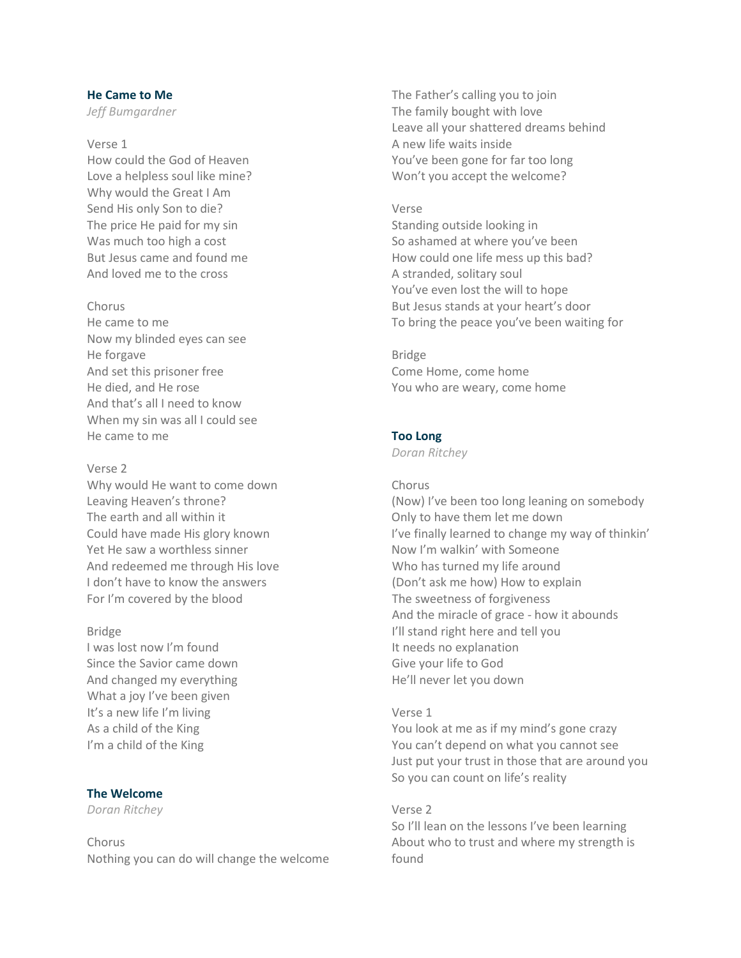## **He Came to Me**

*Jeff Bumgardner*

## Verse 1

How could the God of Heaven Love a helpless soul like mine? Why would the Great I Am Send His only Son to die? The price He paid for my sin Was much too high a cost But Jesus came and found me And loved me to the cross

## Chorus

He came to me Now my blinded eyes can see He forgave And set this prisoner free He died, and He rose And that's all I need to know When my sin was all I could see He came to me

## Verse 2

Why would He want to come down Leaving Heaven's throne? The earth and all within it Could have made His glory known Yet He saw a worthless sinner And redeemed me through His love I don't have to know the answers For I'm covered by the blood

## Bridge

I was lost now I'm found Since the Savior came down And changed my everything What a joy I've been given It's a new life I'm living As a child of the King I'm a child of the King

## **The Welcome**

*Doran Ritchey*

Chorus Nothing you can do will change the welcome The Father's calling you to join The family bought with love Leave all your shattered dreams behind A new life waits inside You've been gone for far too long Won't you accept the welcome?

## Verse

Standing outside looking in So ashamed at where you've been How could one life mess up this bad? A stranded, solitary soul You've even lost the will to hope But Jesus stands at your heart's door To bring the peace you've been waiting for

#### Bridge

Come Home, come home You who are weary, come home

#### **Too Long**

*Doran Ritchey*

Chorus

(Now) I've been too long leaning on somebody Only to have them let me down I've finally learned to change my way of thinkin' Now I'm walkin' with Someone Who has turned my life around (Don't ask me how) How to explain The sweetness of forgiveness And the miracle of grace - how it abounds I'll stand right here and tell you It needs no explanation Give your life to God He'll never let you down

## Verse 1

You look at me as if my mind's gone crazy You can't depend on what you cannot see Just put your trust in those that are around you So you can count on life's reality

## Verse 2

So I'll lean on the lessons I've been learning About who to trust and where my strength is found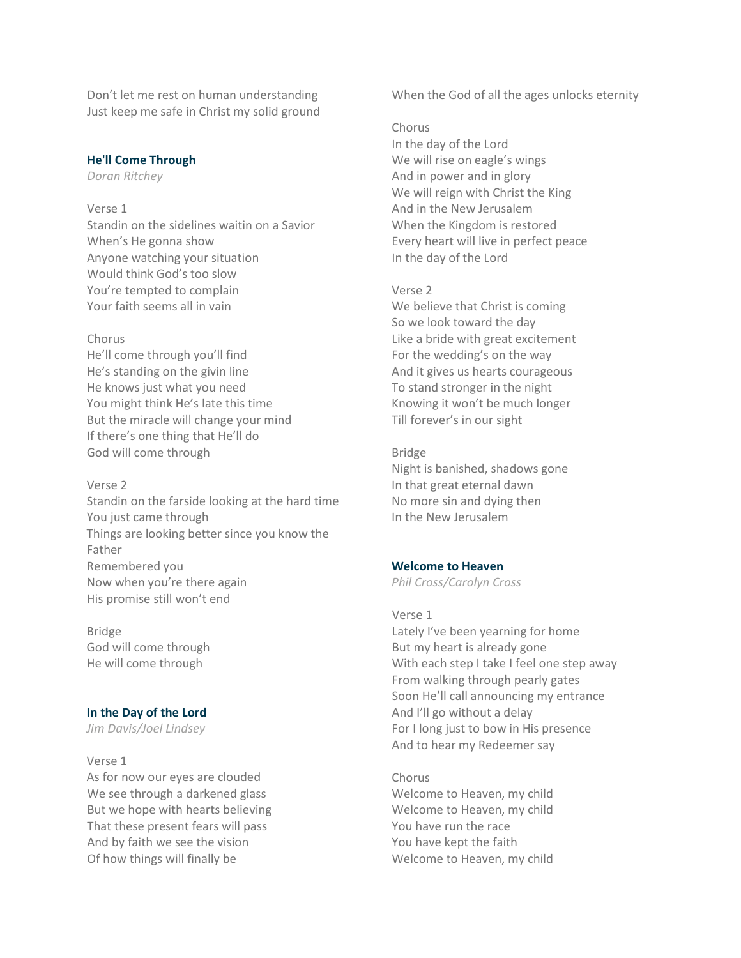Don't let me rest on human understanding Just keep me safe in Christ my solid ground

## **He'll Come Through**

*Doran Ritchey*

## Verse 1

Standin on the sidelines waitin on a Savior When's He gonna show Anyone watching your situation Would think God's too slow You're tempted to complain Your faith seems all in vain

#### Chorus

He'll come through you'll find He's standing on the givin line He knows just what you need You might think He's late this time But the miracle will change your mind If there's one thing that He'll do God will come through

## Verse 2

Standin on the farside looking at the hard time You just came through Things are looking better since you know the Father Remembered you Now when you're there again His promise still won't end

Bridge God will come through He will come through

## **In the Day of the Lord**

*Jim Davis/Joel Lindsey*

## Verse 1

As for now our eyes are clouded We see through a darkened glass But we hope with hearts believing That these present fears will pass And by faith we see the vision Of how things will finally be

When the God of all the ages unlocks eternity

#### Chorus

In the day of the Lord We will rise on eagle's wings And in power and in glory We will reign with Christ the King And in the New Jerusalem When the Kingdom is restored Every heart will live in perfect peace In the day of the Lord

#### Verse 2

We believe that Christ is coming So we look toward the day Like a bride with great excitement For the wedding's on the way And it gives us hearts courageous To stand stronger in the night Knowing it won't be much longer Till forever's in our sight

# Bridge Night is banished, shadows gone In that great eternal dawn No more sin and dying then

## **Welcome to Heaven**

In the New Jerusalem

*Phil Cross/Carolyn Cross*

## Verse 1

Lately I've been yearning for home But my heart is already gone With each step I take I feel one step away From walking through pearly gates Soon He'll call announcing my entrance And I'll go without a delay For I long just to bow in His presence And to hear my Redeemer say

# Chorus Welcome to Heaven, my child Welcome to Heaven, my child You have run the race You have kept the faith Welcome to Heaven, my child